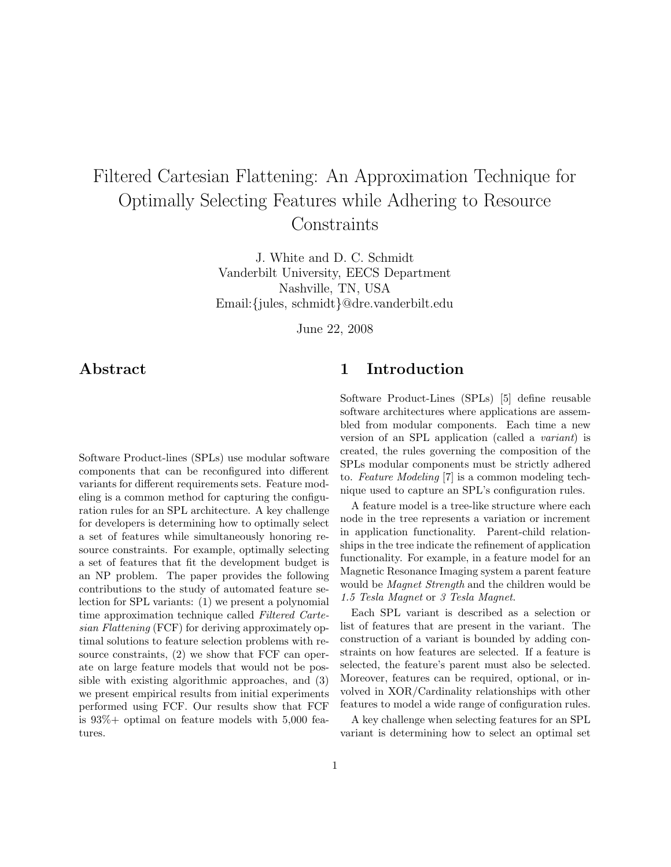# Filtered Cartesian Flattening: An Approximation Technique for Optimally Selecting Features while Adhering to Resource **Constraints**

J. White and D. C. Schmidt Vanderbilt University, EECS Department Nashville, TN, USA Email:{jules, schmidt}@dre.vanderbilt.edu

June 22, 2008

## Abstract

Software Product-lines (SPLs) use modular software components that can be reconfigured into different variants for different requirements sets. Feature modeling is a common method for capturing the configuration rules for an SPL architecture. A key challenge for developers is determining how to optimally select a set of features while simultaneously honoring resource constraints. For example, optimally selecting a set of features that fit the development budget is an NP problem. The paper provides the following contributions to the study of automated feature selection for SPL variants: (1) we present a polynomial time approximation technique called Filtered Cartesian Flattening (FCF) for deriving approximately optimal solutions to feature selection problems with resource constraints, (2) we show that FCF can operate on large feature models that would not be possible with existing algorithmic approaches, and (3) we present empirical results from initial experiments performed using FCF. Our results show that FCF is  $93\%$  + optimal on feature models with 5,000 features.

## 1 Introduction

Software Product-Lines (SPLs) [5] define reusable software architectures where applications are assembled from modular components. Each time a new version of an SPL application (called a variant) is created, the rules governing the composition of the SPLs modular components must be strictly adhered to. Feature Modeling [7] is a common modeling technique used to capture an SPL's configuration rules.

A feature model is a tree-like structure where each node in the tree represents a variation or increment in application functionality. Parent-child relationships in the tree indicate the refinement of application functionality. For example, in a feature model for an Magnetic Resonance Imaging system a parent feature would be Magnet Strength and the children would be 1.5 Tesla Magnet or 3 Tesla Magnet.

Each SPL variant is described as a selection or list of features that are present in the variant. The construction of a variant is bounded by adding constraints on how features are selected. If a feature is selected, the feature's parent must also be selected. Moreover, features can be required, optional, or involved in XOR/Cardinality relationships with other features to model a wide range of configuration rules.

A key challenge when selecting features for an SPL variant is determining how to select an optimal set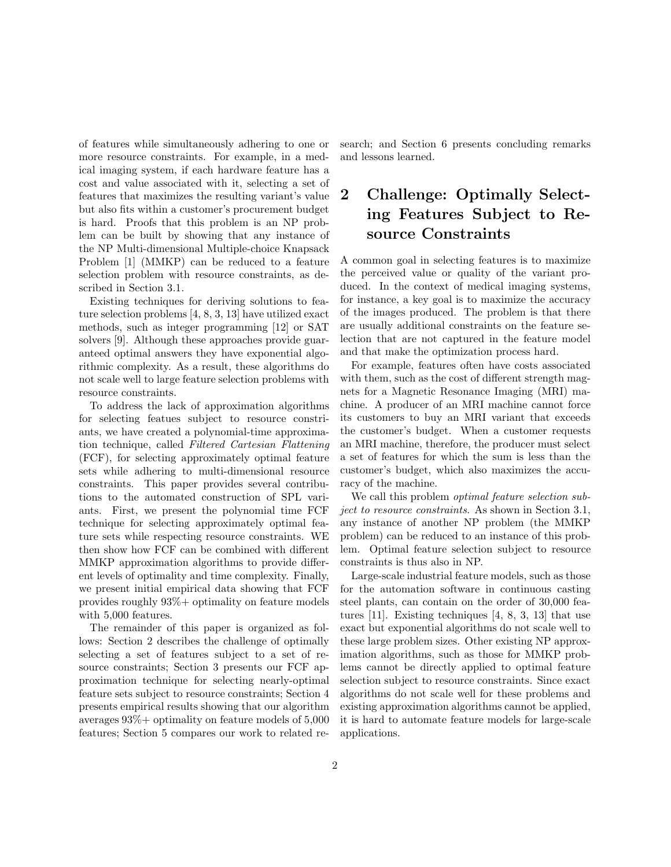of features while simultaneously adhering to one or more resource constraints. For example, in a medical imaging system, if each hardware feature has a cost and value associated with it, selecting a set of features that maximizes the resulting variant's value but also fits within a customer's procurement budget is hard. Proofs that this problem is an NP problem can be built by showing that any instance of the NP Multi-dimensional Multiple-choice Knapsack Problem [1] (MMKP) can be reduced to a feature selection problem with resource constraints, as described in Section 3.1.

Existing techniques for deriving solutions to feature selection problems [4, 8, 3, 13] have utilized exact methods, such as integer programming [12] or SAT solvers [9]. Although these approaches provide guaranteed optimal answers they have exponential algorithmic complexity. As a result, these algorithms do not scale well to large feature selection problems with resource constraints.

To address the lack of approximation algorithms for selecting featues subject to resource constriants, we have created a polynomial-time approximation technique, called Filtered Cartesian Flattening (FCF), for selecting approximately optimal feature sets while adhering to multi-dimensional resource constraints. This paper provides several contributions to the automated construction of SPL variants. First, we present the polynomial time FCF technique for selecting approximately optimal feature sets while respecting resource constraints. WE then show how FCF can be combined with different MMKP approximation algorithms to provide different levels of optimality and time complexity. Finally, we present initial empirical data showing that FCF provides roughly 93%+ optimality on feature models with 5,000 features.

The remainder of this paper is organized as follows: Section 2 describes the challenge of optimally selecting a set of features subject to a set of resource constraints; Section 3 presents our FCF approximation technique for selecting nearly-optimal feature sets subject to resource constraints; Section 4 presents empirical results showing that our algorithm averages  $93\%$  + optimality on feature models of  $5,000$ features; Section 5 compares our work to related research; and Section 6 presents concluding remarks and lessons learned.

## 2 Challenge: Optimally Selecting Features Subject to Resource Constraints

A common goal in selecting features is to maximize the perceived value or quality of the variant produced. In the context of medical imaging systems, for instance, a key goal is to maximize the accuracy of the images produced. The problem is that there are usually additional constraints on the feature selection that are not captured in the feature model and that make the optimization process hard.

For example, features often have costs associated with them, such as the cost of different strength magnets for a Magnetic Resonance Imaging (MRI) machine. A producer of an MRI machine cannot force its customers to buy an MRI variant that exceeds the customer's budget. When a customer requests an MRI machine, therefore, the producer must select a set of features for which the sum is less than the customer's budget, which also maximizes the accuracy of the machine.

We call this problem *optimal feature selection sub*ject to resource constraints. As shown in Section 3.1, any instance of another NP problem (the MMKP problem) can be reduced to an instance of this problem. Optimal feature selection subject to resource constraints is thus also in NP.

Large-scale industrial feature models, such as those for the automation software in continuous casting steel plants, can contain on the order of 30,000 features [11]. Existing techniques [4, 8, 3, 13] that use exact but exponential algorithms do not scale well to these large problem sizes. Other existing NP approximation algorithms, such as those for MMKP problems cannot be directly applied to optimal feature selection subject to resource constraints. Since exact algorithms do not scale well for these problems and existing approximation algorithms cannot be applied, it is hard to automate feature models for large-scale applications.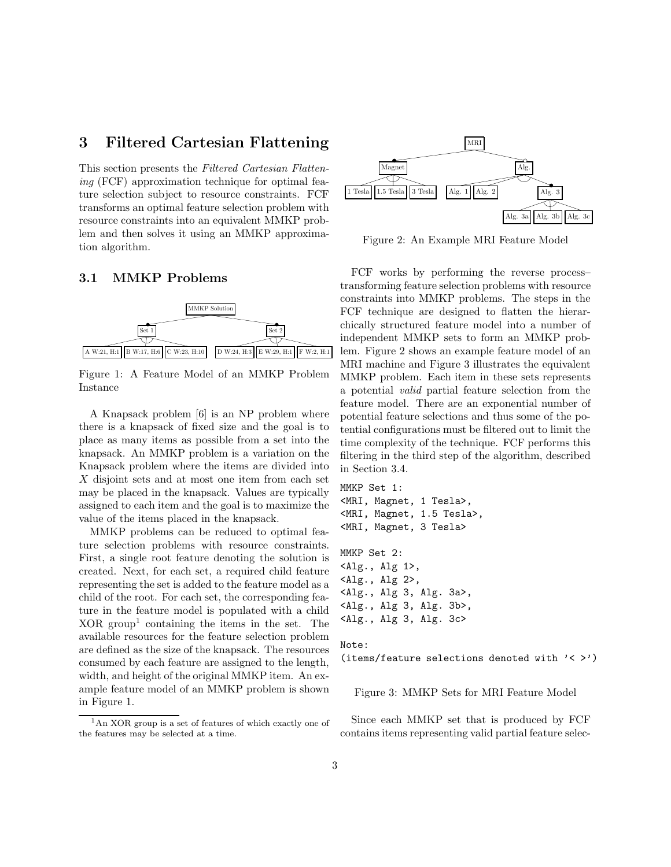### 3 Filtered Cartesian Flattening

This section presents the Filtered Cartesian Flattening (FCF) approximation technique for optimal feature selection subject to resource constraints. FCF transforms an optimal feature selection problem with resource constraints into an equivalent MMKP problem and then solves it using an MMKP approximation algorithm.

#### 3.1 MMKP Problems



Figure 1: A Feature Model of an MMKP Problem Instance

A Knapsack problem [6] is an NP problem where there is a knapsack of fixed size and the goal is to place as many items as possible from a set into the knapsack. An MMKP problem is a variation on the Knapsack problem where the items are divided into X disjoint sets and at most one item from each set may be placed in the knapsack. Values are typically assigned to each item and the goal is to maximize the value of the items placed in the knapsack.

MMKP problems can be reduced to optimal feature selection problems with resource constraints. First, a single root feature denoting the solution is created. Next, for each set, a required child feature representing the set is added to the feature model as a child of the root. For each set, the corresponding feature in the feature model is populated with a child  $XOR$  group<sup>1</sup> containing the items in the set. The available resources for the feature selection problem are defined as the size of the knapsack. The resources consumed by each feature are assigned to the length, width, and height of the original MMKP item. An example feature model of an MMKP problem is shown in Figure 1.



Figure 2: An Example MRI Feature Model

FCF works by performing the reverse process– transforming feature selection problems with resource constraints into MMKP problems. The steps in the FCF technique are designed to flatten the hierarchically structured feature model into a number of independent MMKP sets to form an MMKP problem. Figure 2 shows an example feature model of an MRI machine and Figure 3 illustrates the equivalent MMKP problem. Each item in these sets represents a potential valid partial feature selection from the feature model. There are an exponential number of potential feature selections and thus some of the potential configurations must be filtered out to limit the time complexity of the technique. FCF performs this filtering in the third step of the algorithm, described in Section 3.4.

```
MMKP Set 1:
<MRI, Magnet, 1 Tesla>,
<MRI, Magnet, 1.5 Tesla>,
<MRI, Magnet, 3 Tesla>
MMKP Set 2:
<Alg., Alg 1>,
<Alg., Alg 2>,
<Alg., Alg 3, Alg. 3a>,
<Alg., Alg 3, Alg. 3b>,
<Alg., Alg 3, Alg. 3c>
Note:
```
(items/feature selections denoted with  $\langle \rangle$  >')

Figure 3: MMKP Sets for MRI Feature Model

Since each MMKP set that is produced by FCF contains items representing valid partial feature selec-

 ${}^{1}$ An XOR group is a set of features of which exactly one of the features may be selected at a time.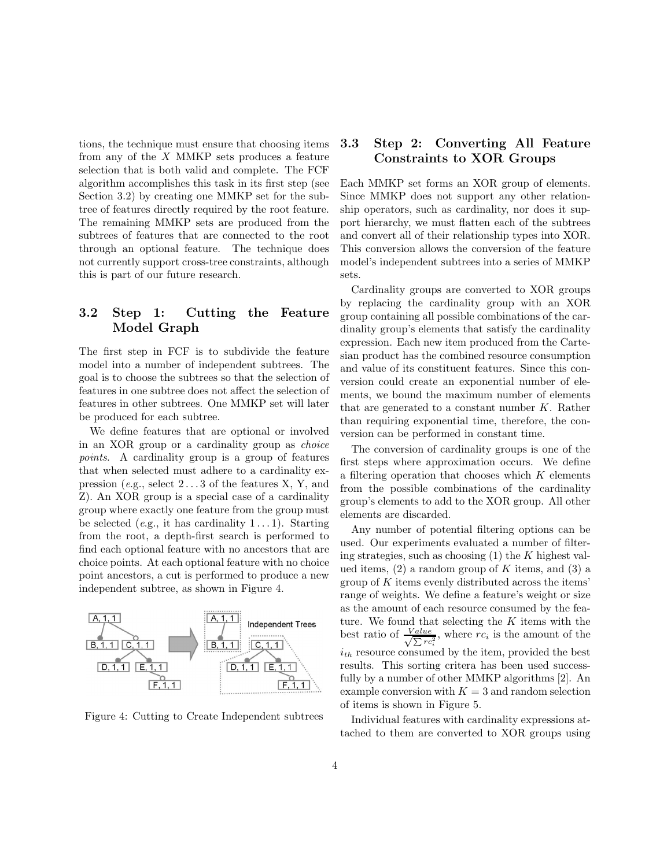tions, the technique must ensure that choosing items from any of the  $X$  MMKP sets produces a feature selection that is both valid and complete. The FCF algorithm accomplishes this task in its first step (see Section 3.2) by creating one MMKP set for the subtree of features directly required by the root feature. The remaining MMKP sets are produced from the subtrees of features that are connected to the root through an optional feature. The technique does not currently support cross-tree constraints, although this is part of our future research.

#### 3.2 Step 1: Cutting the Feature Model Graph

The first step in FCF is to subdivide the feature model into a number of independent subtrees. The goal is to choose the subtrees so that the selection of features in one subtree does not affect the selection of features in other subtrees. One MMKP set will later be produced for each subtree.

We define features that are optional or involved in an XOR group or a cardinality group as choice points. A cardinality group is a group of features that when selected must adhere to a cardinality expression (e.g., select  $2 \ldots 3$  of the features X, Y, and Z). An XOR group is a special case of a cardinality group where exactly one feature from the group must be selected (e.g., it has cardinality  $1 \dots 1$ ). Starting from the root, a depth-first search is performed to find each optional feature with no ancestors that are choice points. At each optional feature with no choice point ancestors, a cut is performed to produce a new independent subtree, as shown in Figure 4.



Figure 4: Cutting to Create Independent subtrees

#### 3.3 Step 2: Converting All Feature Constraints to XOR Groups

Each MMKP set forms an XOR group of elements. Since MMKP does not support any other relationship operators, such as cardinality, nor does it support hierarchy, we must flatten each of the subtrees and convert all of their relationship types into XOR. This conversion allows the conversion of the feature model's independent subtrees into a series of MMKP sets.

Cardinality groups are converted to XOR groups by replacing the cardinality group with an XOR group containing all possible combinations of the cardinality group's elements that satisfy the cardinality expression. Each new item produced from the Cartesian product has the combined resource consumption and value of its constituent features. Since this conversion could create an exponential number of elements, we bound the maximum number of elements that are generated to a constant number  $K$ . Rather than requiring exponential time, therefore, the conversion can be performed in constant time.

The conversion of cardinality groups is one of the first steps where approximation occurs. We define a filtering operation that chooses which  $K$  elements from the possible combinations of the cardinality group's elements to add to the XOR group. All other elements are discarded.

Any number of potential filtering options can be used. Our experiments evaluated a number of filtering strategies, such as choosing  $(1)$  the K highest valued items,  $(2)$  a random group of K items, and  $(3)$  a group of  $K$  items evenly distributed across the items' range of weights. We define a feature's weight or size as the amount of each resource consumed by the feature. We found that selecting the  $K$  items with the best ratio of  $\frac{Value}{\sqrt{N_{TC}}}$  $\frac{Value}{\sum rc_i^2}$ , where  $rc_i$  is the amount of the  $i_{th}$  resource consumed by the item, provided the best results. This sorting critera has been used successfully by a number of other MMKP algorithms [2]. An example conversion with  $K = 3$  and random selection of items is shown in Figure 5.

Individual features with cardinality expressions attached to them are converted to XOR groups using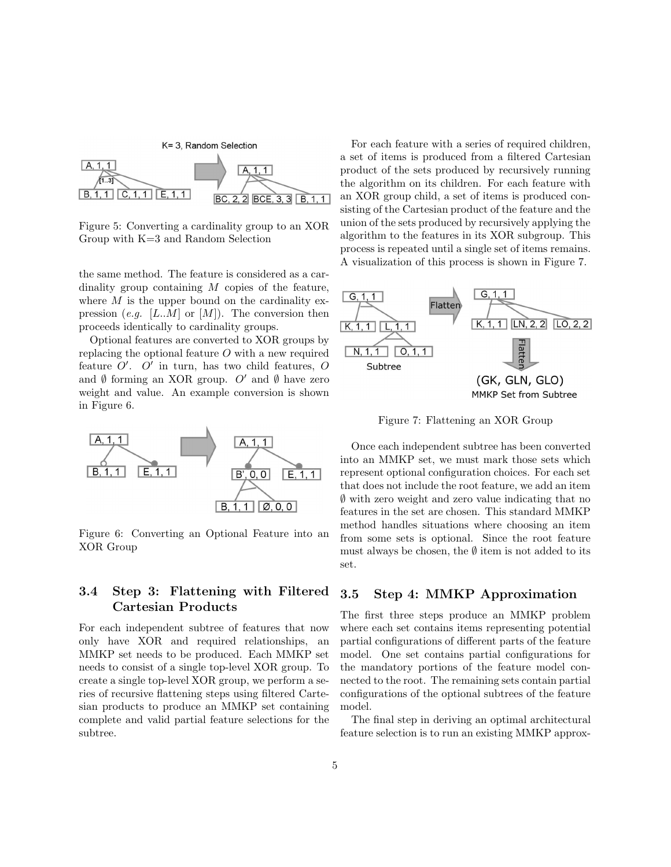

Figure 5: Converting a cardinality group to an XOR Group with K=3 and Random Selection

the same method. The feature is considered as a cardinality group containing  $M$  copies of the feature, where  $M$  is the upper bound on the cardinality expression (e.g. [L..M] or [M]). The conversion then proceeds identically to cardinality groups.

Optional features are converted to XOR groups by replacing the optional feature  $O$  with a new required feature  $O'$ .  $O'$  in turn, has two child features, O and  $\emptyset$  forming an XOR group. O' and  $\emptyset$  have zero weight and value. An example conversion is shown in Figure 6.



Figure 6: Converting an Optional Feature into an XOR Group

#### 3.4 Step 3: Flattening with Filtered Cartesian Products

For each independent subtree of features that now only have XOR and required relationships, an MMKP set needs to be produced. Each MMKP set needs to consist of a single top-level XOR group. To create a single top-level XOR group, we perform a series of recursive flattening steps using filtered Cartesian products to produce an MMKP set containing complete and valid partial feature selections for the subtree.

For each feature with a series of required children, a set of items is produced from a filtered Cartesian product of the sets produced by recursively running the algorithm on its children. For each feature with an XOR group child, a set of items is produced consisting of the Cartesian product of the feature and the union of the sets produced by recursively applying the algorithm to the features in its XOR subgroup. This process is repeated until a single set of items remains. A visualization of this process is shown in Figure 7.



Figure 7: Flattening an XOR Group

Once each independent subtree has been converted into an MMKP set, we must mark those sets which represent optional configuration choices. For each set that does not include the root feature, we add an item ∅ with zero weight and zero value indicating that no features in the set are chosen. This standard MMKP method handles situations where choosing an item from some sets is optional. Since the root feature must always be chosen, the  $\emptyset$  item is not added to its set.

#### 3.5 Step 4: MMKP Approximation

The first three steps produce an MMKP problem where each set contains items representing potential partial configurations of different parts of the feature model. One set contains partial configurations for the mandatory portions of the feature model connected to the root. The remaining sets contain partial configurations of the optional subtrees of the feature model.

The final step in deriving an optimal architectural feature selection is to run an existing MMKP approx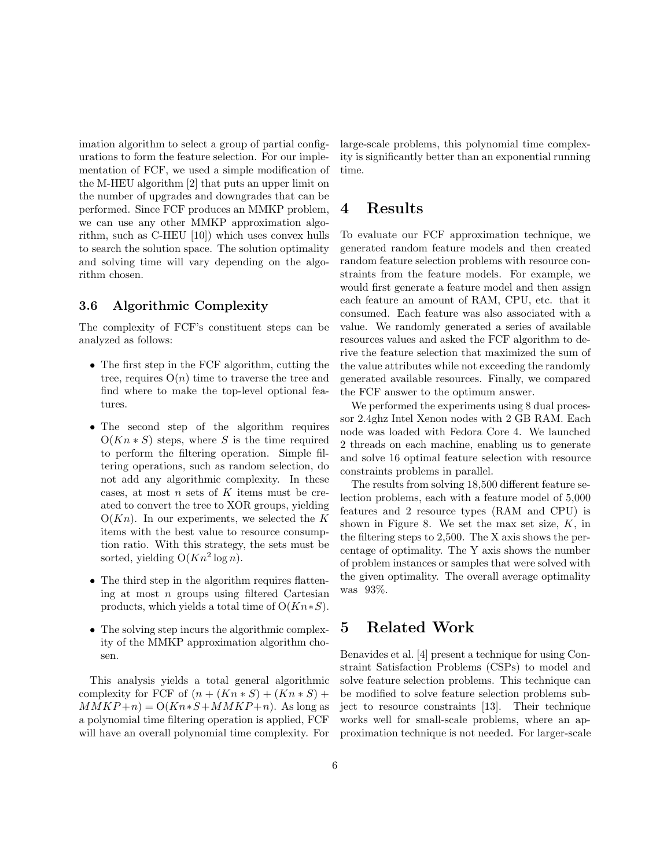imation algorithm to select a group of partial configurations to form the feature selection. For our implementation of FCF, we used a simple modification of the M-HEU algorithm [2] that puts an upper limit on the number of upgrades and downgrades that can be performed. Since FCF produces an MMKP problem, we can use any other MMKP approximation algorithm, such as C-HEU [10]) which uses convex hulls to search the solution space. The solution optimality and solving time will vary depending on the algorithm chosen.

#### 3.6 Algorithmic Complexity

The complexity of FCF's constituent steps can be analyzed as follows:

- The first step in the FCF algorithm, cutting the tree, requires  $O(n)$  time to traverse the tree and find where to make the top-level optional features.
- The second step of the algorithm requires  $O(Kn * S)$  steps, where S is the time required to perform the filtering operation. Simple filtering operations, such as random selection, do not add any algorithmic complexity. In these cases, at most  $n$  sets of  $K$  items must be created to convert the tree to XOR groups, yielding  $O(Kn)$ . In our experiments, we selected the K items with the best value to resource consumption ratio. With this strategy, the sets must be sorted, yielding  $O(Kn^2 \log n)$ .
- The third step in the algorithm requires flattening at most n groups using filtered Cartesian products, which yields a total time of  $O(Kn*S)$ .
- The solving step incurs the algorithmic complexity of the MMKP approximation algorithm chosen.

This analysis yields a total general algorithmic complexity for FCF of  $(n + (Kn * S) + (Kn * S) +$  $MMKP+n) = O(Kn*S+MMKP+n)$ . As long as a polynomial time filtering operation is applied, FCF will have an overall polynomial time complexity. For

large-scale problems, this polynomial time complexity is significantly better than an exponential running time.

## 4 Results

To evaluate our FCF approximation technique, we generated random feature models and then created random feature selection problems with resource constraints from the feature models. For example, we would first generate a feature model and then assign each feature an amount of RAM, CPU, etc. that it consumed. Each feature was also associated with a value. We randomly generated a series of available resources values and asked the FCF algorithm to derive the feature selection that maximized the sum of the value attributes while not exceeding the randomly generated available resources. Finally, we compared the FCF answer to the optimum answer.

We performed the experiments using 8 dual processor 2.4ghz Intel Xenon nodes with 2 GB RAM. Each node was loaded with Fedora Core 4. We launched 2 threads on each machine, enabling us to generate and solve 16 optimal feature selection with resource constraints problems in parallel.

The results from solving 18,500 different feature selection problems, each with a feature model of 5,000 features and 2 resource types (RAM and CPU) is shown in Figure 8. We set the max set size,  $K$ , in the filtering steps to 2,500. The X axis shows the percentage of optimality. The Y axis shows the number of problem instances or samples that were solved with the given optimality. The overall average optimality was 93%.

## 5 Related Work

Benavides et al. [4] present a technique for using Constraint Satisfaction Problems (CSPs) to model and solve feature selection problems. This technique can be modified to solve feature selection problems subject to resource constraints [13]. Their technique works well for small-scale problems, where an approximation technique is not needed. For larger-scale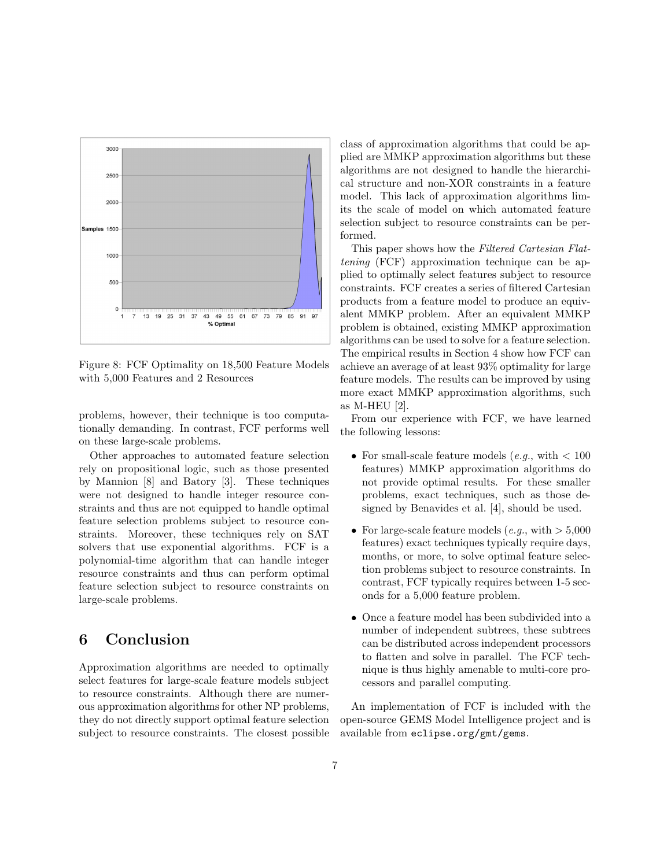

Figure 8: FCF Optimality on 18,500 Feature Models with 5,000 Features and 2 Resources

problems, however, their technique is too computationally demanding. In contrast, FCF performs well on these large-scale problems.

Other approaches to automated feature selection rely on propositional logic, such as those presented by Mannion [8] and Batory [3]. These techniques were not designed to handle integer resource constraints and thus are not equipped to handle optimal feature selection problems subject to resource constraints. Moreover, these techniques rely on SAT solvers that use exponential algorithms. FCF is a polynomial-time algorithm that can handle integer resource constraints and thus can perform optimal feature selection subject to resource constraints on large-scale problems.

## 6 Conclusion

Approximation algorithms are needed to optimally select features for large-scale feature models subject to resource constraints. Although there are numerous approximation algorithms for other NP problems, they do not directly support optimal feature selection subject to resource constraints. The closest possible class of approximation algorithms that could be applied are MMKP approximation algorithms but these algorithms are not designed to handle the hierarchical structure and non-XOR constraints in a feature model. This lack of approximation algorithms limits the scale of model on which automated feature selection subject to resource constraints can be performed.

This paper shows how the Filtered Cartesian Flattening (FCF) approximation technique can be applied to optimally select features subject to resource constraints. FCF creates a series of filtered Cartesian products from a feature model to produce an equivalent MMKP problem. After an equivalent MMKP problem is obtained, existing MMKP approximation algorithms can be used to solve for a feature selection. The empirical results in Section 4 show how FCF can achieve an average of at least 93% optimality for large feature models. The results can be improved by using more exact MMKP approximation algorithms, such as M-HEU [2].

From our experience with FCF, we have learned the following lessons:

- For small-scale feature models (e.g., with  $< 100$ ) features) MMKP approximation algorithms do not provide optimal results. For these smaller problems, exact techniques, such as those designed by Benavides et al. [4], should be used.
- For large-scale feature models  $(e.g., with > 5,000$ features) exact techniques typically require days, months, or more, to solve optimal feature selection problems subject to resource constraints. In contrast, FCF typically requires between 1-5 seconds for a 5,000 feature problem.
- Once a feature model has been subdivided into a number of independent subtrees, these subtrees can be distributed across independent processors to flatten and solve in parallel. The FCF technique is thus highly amenable to multi-core processors and parallel computing.

An implementation of FCF is included with the open-source GEMS Model Intelligence project and is available from eclipse.org/gmt/gems.